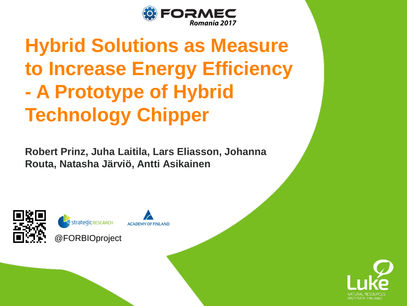

# **Hybrid Solutions as Measure to Increase Energy Efficiency - A Prototype of Hybrid Technology Chipper**

**Robert Prinz, Juha Laitila, Lars Eliasson, Johanna Routa, Natasha Järviö, Antti Asikainen**



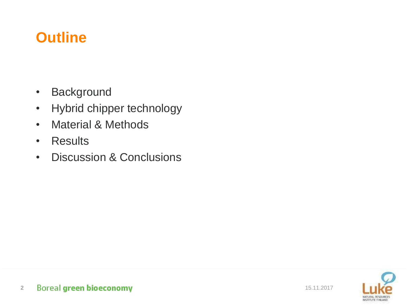### **Outline**

- Background
- Hybrid chipper technology
- Material & Methods
- Results
- Discussion & Conclusions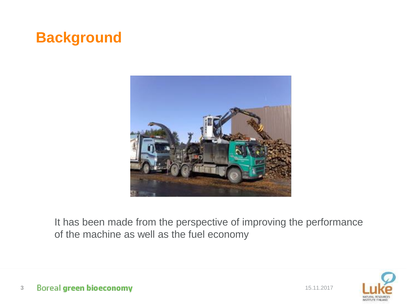### **Background**



It has been made from the perspective of improving the performance of the machine as well as the fuel economy

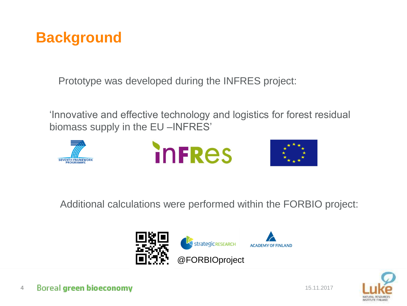

Prototype was developed during the INFRES project:

'Innovative and effective technology and logistics for forest residual biomass supply in the EU –INFRES'







Additional calculations were performed within the FORBIO project:



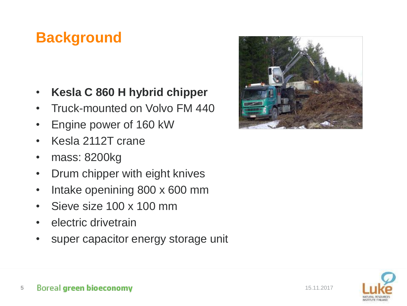### **Background**

- **Kesla C 860 H hybrid chipper**
- Truck-mounted on Volvo FM 440
- Engine power of 160 kW
- Kesla 2112T crane
- mass: 8200kg
- Drum chipper with eight knives
- Intake openining 800 x 600 mm
- Sieve size 100 x 100 mm
- electric drivetrain
- super capacitor energy storage unit



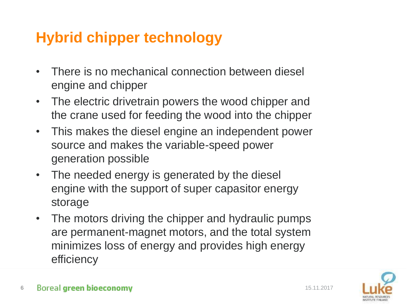### **Hybrid chipper technology**

- There is no mechanical connection between diesel engine and chipper
- The electric drivetrain powers the wood chipper and the crane used for feeding the wood into the chipper
- This makes the diesel engine an independent power source and makes the variable-speed power generation possible
- The needed energy is generated by the diesel engine with the support of super capasitor energy storage
- The motors driving the chipper and hydraulic pumps are permanent-magnet motors, and the total system minimizes loss of energy and provides high energy efficiency

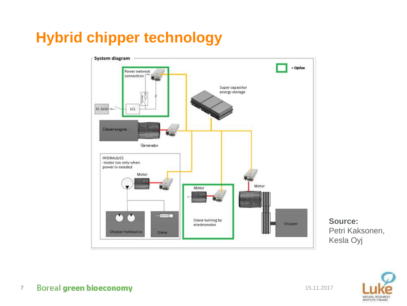### **Hybrid chipper technology**



**Source:** Petri Kaksonen, Kesla Oyj

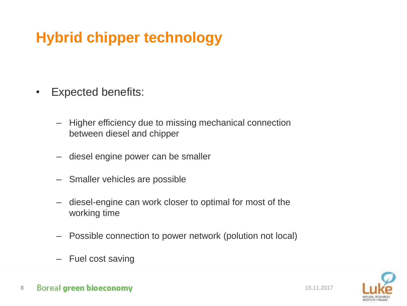## **Hybrid chipper technology**

- Expected benefits:
	- Higher efficiency due to missing mechanical connection between diesel and chipper
	- diesel engine power can be smaller
	- Smaller vehicles are possible
	- diesel-engine can work closer to optimal for most of the working time
	- Possible connection to power network (polution not local)
	- Fuel cost saving



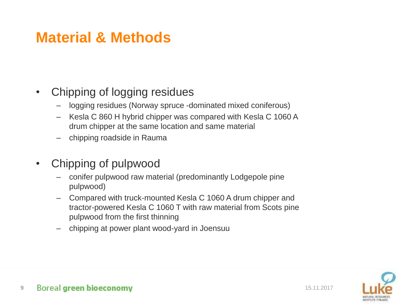### **Material & Methods**

- Chipping of logging residues
	- logging residues (Norway spruce -dominated mixed coniferous)
	- Kesla C 860 H hybrid chipper was compared with Kesla C 1060 A drum chipper at the same location and same material
	- chipping roadside in Rauma
- Chipping of pulpwood
	- conifer pulpwood raw material (predominantly Lodgepole pine pulpwood)
	- Compared with truck-mounted Kesla C 1060 A drum chipper and tractor-powered Kesla C 1060 T with raw material from Scots pine pulpwood from the first thinning
	- chipping at power plant wood-yard in Joensuu

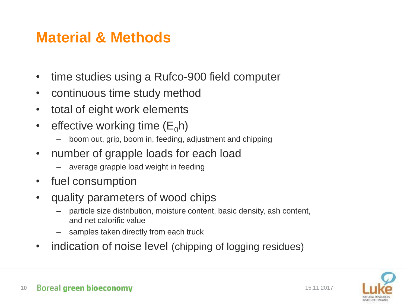### **Material & Methods**

- time studies using a Rufco-900 field computer
- continuous time study method
- total of eight work elements
- effective working time  $(E_0 h)$ 
	- boom out, grip, boom in, feeding, adjustment and chipping
- number of grapple loads for each load
	- average grapple load weight in feeding
- fuel consumption
- quality parameters of wood chips
	- particle size distribution, moisture content, basic density, ash content, and net calorific value
	- samples taken directly from each truck
- indication of noise level (chipping of logging residues)

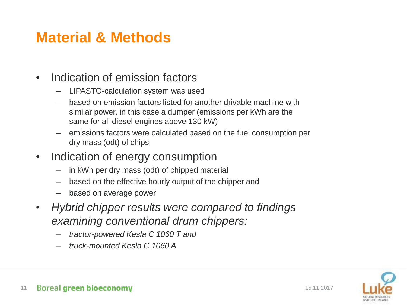### **Material & Methods**

### • Indication of emission factors

- LIPASTO-calculation system was used
- based on emission factors listed for another drivable machine with similar power, in this case a dumper (emissions per kWh are the same for all diesel engines above 130 kW)
- emissions factors were calculated based on the fuel consumption per dry mass (odt) of chips
- Indication of energy consumption
	- in kWh per dry mass (odt) of chipped material
	- based on the effective hourly output of the chipper and
	- based on average power
- *Hybrid chipper results were compared to findings examining conventional drum chippers:*
	- *tractor-powered Kesla C 1060 T and*
	- *truck-mounted Kesla C 1060 A*

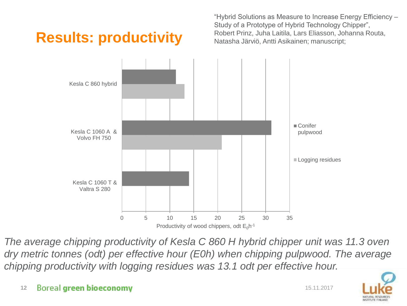## **Results: productivity**

"Hybrid Solutions as Measure to Increase Energy Efficiency – Study of a Prototype of Hybrid Technology Chipper", Robert Prinz, Juha Laitila, Lars Eliasson, Johanna Routa, Natasha Järviö, Antti Asikainen; manuscript;



*The average chipping productivity of Kesla C 860 H hybrid chipper unit was 11.3 oven dry metric tonnes (odt) per effective hour (E0h) when chipping pulpwood. The average chipping productivity with logging residues was 13.1 odt per effective hour.*

#### **12 Boreal green bioeconomy 12 Boreal green bioeconomy**

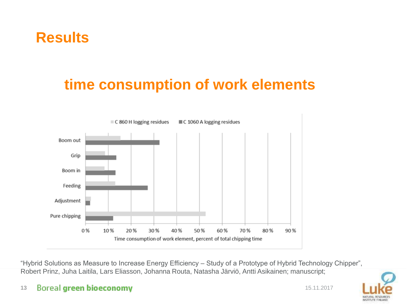### **Results**

## **time consumption of work elements**



"Hybrid Solutions as Measure to Increase Energy Efficiency – Study of a Prototype of Hybrid Technology Chipper", Robert Prinz, Juha Laitila, Lars Eliasson, Johanna Routa, Natasha Järviö, Antti Asikainen; manuscript;

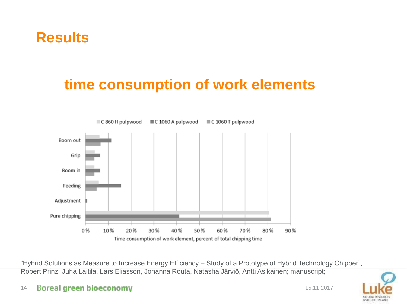### **Results**

### **time consumption of work elements**



"Hybrid Solutions as Measure to Increase Energy Efficiency – Study of a Prototype of Hybrid Technology Chipper", Robert Prinz, Juha Laitila, Lars Eliasson, Johanna Routa, Natasha Järviö, Antti Asikainen; manuscript;

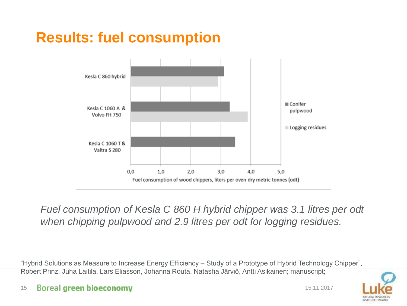## **Results: fuel consumption**



### *Fuel consumption of Kesla C 860 H hybrid chipper was 3.1 litres per odt when chipping pulpwood and 2.9 litres per odt for logging residues.*

"Hybrid Solutions as Measure to Increase Energy Efficiency – Study of a Prototype of Hybrid Technology Chipper", Robert Prinz, Juha Laitila, Lars Eliasson, Johanna Routa, Natasha Järviö, Antti Asikainen; manuscript;

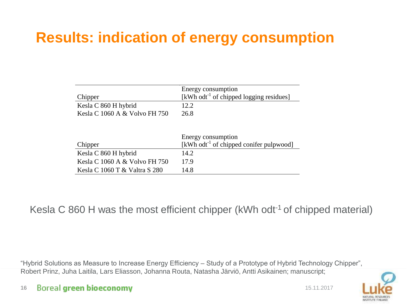### **Results: indication of energy consumption**

| Chipper                                               | Energy consumption<br>[kWh odt <sup>-1</sup> of chipped logging residues] |  |  |  |  |
|-------------------------------------------------------|---------------------------------------------------------------------------|--|--|--|--|
|                                                       |                                                                           |  |  |  |  |
| Kesla C 860 H hybrid                                  | 12.2.                                                                     |  |  |  |  |
| Kesla C 1060 A & Volvo FH 750                         | 26.8                                                                      |  |  |  |  |
|                                                       |                                                                           |  |  |  |  |
|                                                       | Energy consumption                                                        |  |  |  |  |
| Chipper                                               | [kWh odt <sup>-1</sup> of chipped conifer pulpwood]<br>14.2               |  |  |  |  |
| Kesla C 860 H hybrid<br>Kesla C 1060 A & Volvo FH 750 | 17.9                                                                      |  |  |  |  |

Kesla C 860 H was the most efficient chipper (kWh odt<sup>-1</sup> of chipped material)

"Hybrid Solutions as Measure to Increase Energy Efficiency – Study of a Prototype of Hybrid Technology Chipper", Robert Prinz, Juha Laitila, Lars Eliasson, Johanna Routa, Natasha Järviö, Antti Asikainen; manuscript;

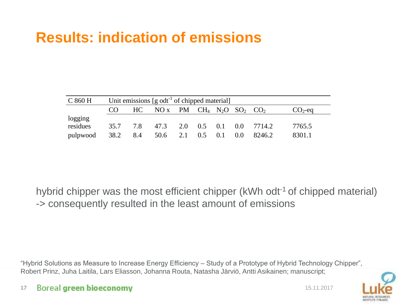### **Results: indication of emissions**

| C 860 H             | Unit emissions $[g \text{ odd}^{-1}]$ of chipped material |     |                                                                             |  |  |  |               |                             |           |  |
|---------------------|-----------------------------------------------------------|-----|-----------------------------------------------------------------------------|--|--|--|---------------|-----------------------------|-----------|--|
|                     | CO                                                        |     | HC NO x PM CH <sub>4</sub> N <sub>2</sub> O SO <sub>2</sub> CO <sub>2</sub> |  |  |  |               |                             | $CO2$ -eq |  |
| logging<br>residues | 35.7                                                      | 7.8 |                                                                             |  |  |  |               | 47.3 2.0 0.5 0.1 0.0 7714.2 | 7765.5    |  |
| $pulpwood$ 38.2 8.4 |                                                           |     | $50.6$ 2.1 0.5 0.1                                                          |  |  |  | $0.0^{\circ}$ | 8246.2                      | 8301.1    |  |

hybrid chipper was the most efficient chipper (kWh odt<sup>-1</sup> of chipped material) -> consequently resulted in the least amount of emissions

"Hybrid Solutions as Measure to Increase Energy Efficiency – Study of a Prototype of Hybrid Technology Chipper", Robert Prinz, Juha Laitila, Lars Eliasson, Johanna Routa, Natasha Järviö, Antti Asikainen; manuscript;

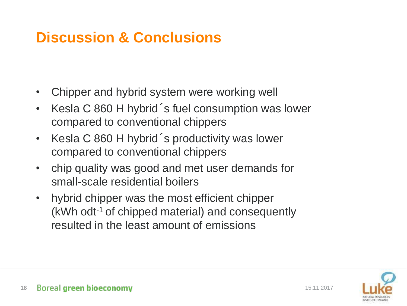### **Discussion & Conclusions**

- Chipper and hybrid system were working well
- Kesla C 860 H hybrid´s fuel consumption was lower compared to conventional chippers
- Kesla C 860 H hybrid´s productivity was lower compared to conventional chippers
- chip quality was good and met user demands for small-scale residential boilers
- hybrid chipper was the most efficient chipper (kWh odt-1 of chipped material) and consequently resulted in the least amount of emissions

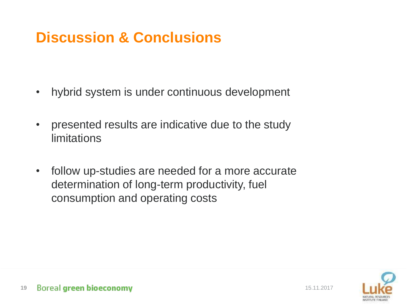## **Discussion & Conclusions**

- hybrid system is under continuous development
- presented results are indicative due to the study limitations
- follow up-studies are needed for a more accurate determination of long-term productivity, fuel consumption and operating costs